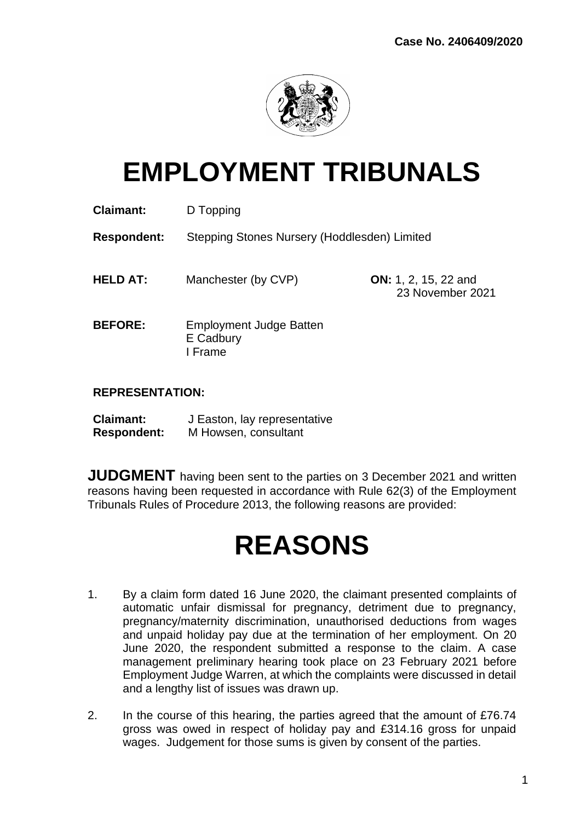

# **EMPLOYMENT TRIBUNALS**

| <b>Claimant:</b>   | D Topping                                              |                                                 |
|--------------------|--------------------------------------------------------|-------------------------------------------------|
| <b>Respondent:</b> | Stepping Stones Nursery (Hoddlesden) Limited           |                                                 |
| <b>HELD AT:</b>    | Manchester (by CVP)                                    | <b>ON:</b> 1, 2, 15, 22 and<br>23 November 2021 |
| <b>BEFORE:</b>     | <b>Employment Judge Batten</b><br>E Cadbury<br>I Frame |                                                 |

## **REPRESENTATION:**

| <b>Claimant:</b>   | J Easton, lay representative |
|--------------------|------------------------------|
| <b>Respondent:</b> | M Howsen, consultant         |

**JUDGMENT** having been sent to the parties on 3 December 2021 and written reasons having been requested in accordance with Rule 62(3) of the Employment Tribunals Rules of Procedure 2013, the following reasons are provided:

# **REASONS**

- 1. By a claim form dated 16 June 2020, the claimant presented complaints of automatic unfair dismissal for pregnancy, detriment due to pregnancy, pregnancy/maternity discrimination, unauthorised deductions from wages and unpaid holiday pay due at the termination of her employment. On 20 June 2020, the respondent submitted a response to the claim. A case management preliminary hearing took place on 23 February 2021 before Employment Judge Warren, at which the complaints were discussed in detail and a lengthy list of issues was drawn up.
- 2. In the course of this hearing, the parties agreed that the amount of £76.74 gross was owed in respect of holiday pay and £314.16 gross for unpaid wages. Judgement for those sums is given by consent of the parties.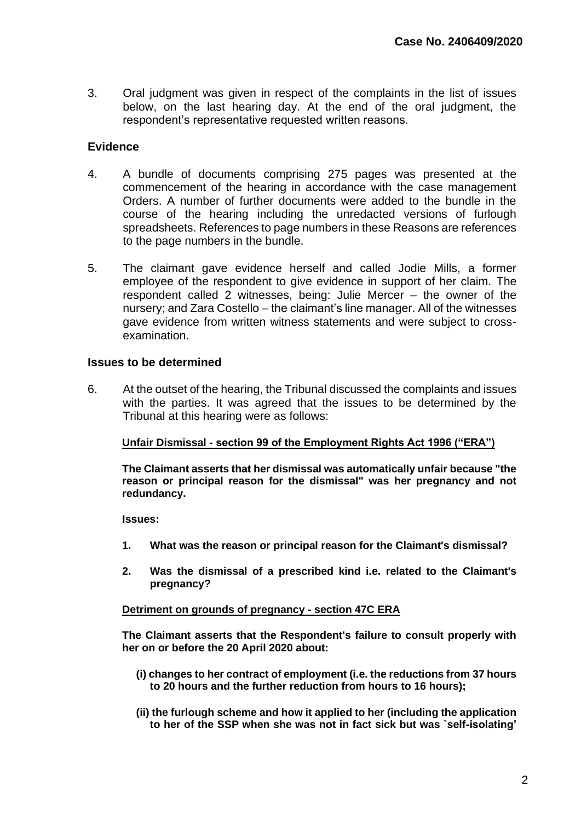3. Oral judgment was given in respect of the complaints in the list of issues below, on the last hearing day. At the end of the oral judgment, the respondent's representative requested written reasons.

## **Evidence**

- 4. A bundle of documents comprising 275 pages was presented at the commencement of the hearing in accordance with the case management Orders. A number of further documents were added to the bundle in the course of the hearing including the unredacted versions of furlough spreadsheets. References to page numbers in these Reasons are references to the page numbers in the bundle.
- 5. The claimant gave evidence herself and called Jodie Mills, a former employee of the respondent to give evidence in support of her claim. The respondent called 2 witnesses, being: Julie Mercer – the owner of the nursery; and Zara Costello – the claimant's line manager. All of the witnesses gave evidence from written witness statements and were subject to crossexamination.

## **Issues to be determined**

6. At the outset of the hearing, the Tribunal discussed the complaints and issues with the parties. It was agreed that the issues to be determined by the Tribunal at this hearing were as follows:

### **Unfair Dismissal - section 99 of the Employment Rights Act 1996 ("ERA")**

**The Claimant asserts that her dismissal was automatically unfair because "the reason or principal reason for the dismissal" was her pregnancy and not redundancy.**

**Issues:**

- **1. What was the reason or principal reason for the Claimant's dismissal?**
- **2. Was the dismissal of a prescribed kind i.e. related to the Claimant's pregnancy?**

### **Detriment on grounds of pregnancy - section 47C ERA**

**The Claimant asserts that the Respondent's failure to consult properly with her on or before the 20 April 2020 about:**

- **(i) changes to her contract of employment (i.e. the reductions from 37 hours to 20 hours and the further reduction from hours to 16 hours);**
- **(ii) the furlough scheme and how it applied to her (including the application to her of the SSP when she was not in fact sick but was `self-isolating'**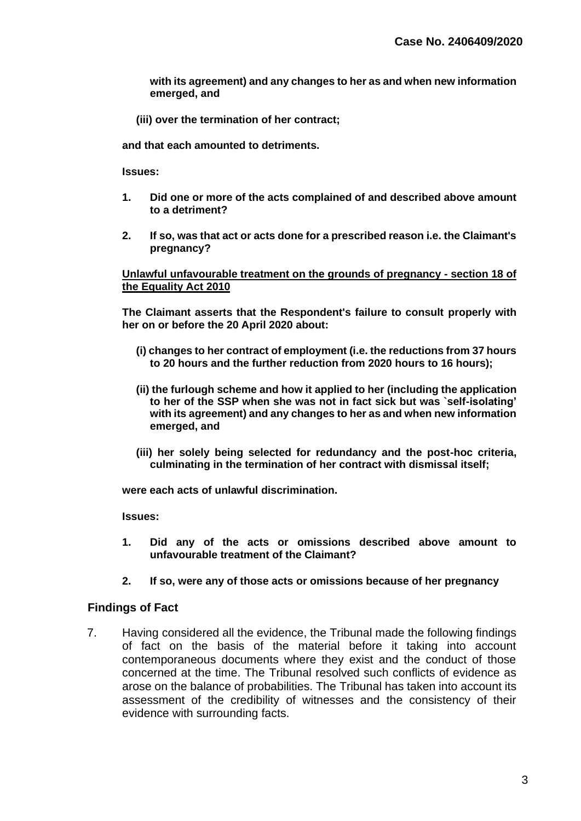**with its agreement) and any changes to her as and when new information emerged, and**

**(iii) over the termination of her contract;**

**and that each amounted to detriments.**

**Issues:**

- **1. Did one or more of the acts complained of and described above amount to a detriment?**
- **2. If so, was that act or acts done for a prescribed reason i.e. the Claimant's pregnancy?**

#### **Unlawful unfavourable treatment on the grounds of pregnancy - section 18 of the Equality Act 2010**

**The Claimant asserts that the Respondent's failure to consult properly with her on or before the 20 April 2020 about:**

- **(i) changes to her contract of employment (i.e. the reductions from 37 hours to 20 hours and the further reduction from 2020 hours to 16 hours);**
- **(ii) the furlough scheme and how it applied to her (including the application to her of the SSP when she was not in fact sick but was `self-isolating' with its agreement) and any changes to her as and when new information emerged, and**
- **(iii) her solely being selected for redundancy and the post-hoc criteria, culminating in the termination of her contract with dismissal itself;**

**were each acts of unlawful discrimination.**

**Issues:**

- **1. Did any of the acts or omissions described above amount to unfavourable treatment of the Claimant?**
- **2. If so, were any of those acts or omissions because of her pregnancy**

### **Findings of Fact**

7. Having considered all the evidence, the Tribunal made the following findings of fact on the basis of the material before it taking into account contemporaneous documents where they exist and the conduct of those concerned at the time. The Tribunal resolved such conflicts of evidence as arose on the balance of probabilities. The Tribunal has taken into account its assessment of the credibility of witnesses and the consistency of their evidence with surrounding facts.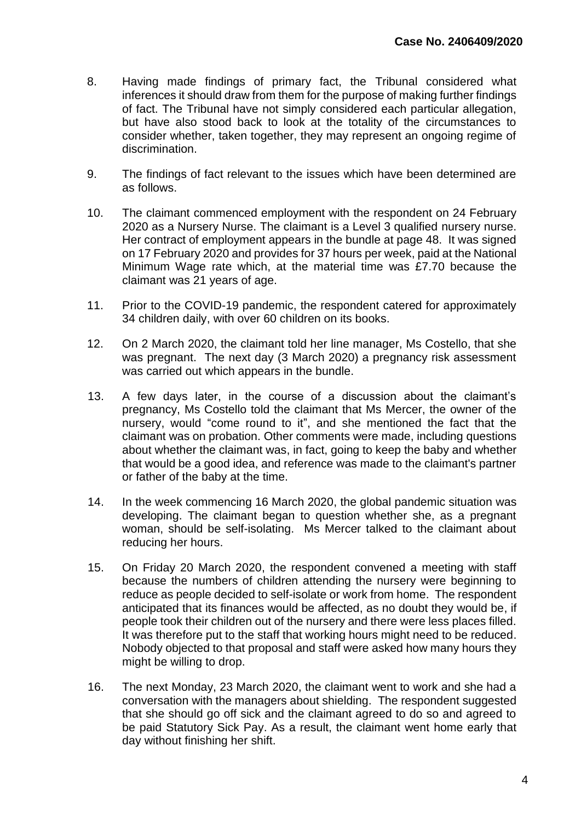- 8. Having made findings of primary fact, the Tribunal considered what inferences it should draw from them for the purpose of making further findings of fact. The Tribunal have not simply considered each particular allegation, but have also stood back to look at the totality of the circumstances to consider whether, taken together, they may represent an ongoing regime of discrimination.
- 9. The findings of fact relevant to the issues which have been determined are as follows.
- 10. The claimant commenced employment with the respondent on 24 February 2020 as a Nursery Nurse. The claimant is a Level 3 qualified nursery nurse. Her contract of employment appears in the bundle at page 48. It was signed on 17 February 2020 and provides for 37 hours per week, paid at the National Minimum Wage rate which, at the material time was £7.70 because the claimant was 21 years of age.
- 11. Prior to the COVID-19 pandemic, the respondent catered for approximately 34 children daily, with over 60 children on its books.
- 12. On 2 March 2020, the claimant told her line manager, Ms Costello, that she was pregnant. The next day (3 March 2020) a pregnancy risk assessment was carried out which appears in the bundle.
- 13. A few days later, in the course of a discussion about the claimant's pregnancy, Ms Costello told the claimant that Ms Mercer, the owner of the nursery, would "come round to it", and she mentioned the fact that the claimant was on probation. Other comments were made, including questions about whether the claimant was, in fact, going to keep the baby and whether that would be a good idea, and reference was made to the claimant's partner or father of the baby at the time.
- 14. In the week commencing 16 March 2020, the global pandemic situation was developing. The claimant began to question whether she, as a pregnant woman, should be self-isolating. Ms Mercer talked to the claimant about reducing her hours.
- 15. On Friday 20 March 2020, the respondent convened a meeting with staff because the numbers of children attending the nursery were beginning to reduce as people decided to self-isolate or work from home. The respondent anticipated that its finances would be affected, as no doubt they would be, if people took their children out of the nursery and there were less places filled. It was therefore put to the staff that working hours might need to be reduced. Nobody objected to that proposal and staff were asked how many hours they might be willing to drop.
- 16. The next Monday, 23 March 2020, the claimant went to work and she had a conversation with the managers about shielding. The respondent suggested that she should go off sick and the claimant agreed to do so and agreed to be paid Statutory Sick Pay. As a result, the claimant went home early that day without finishing her shift.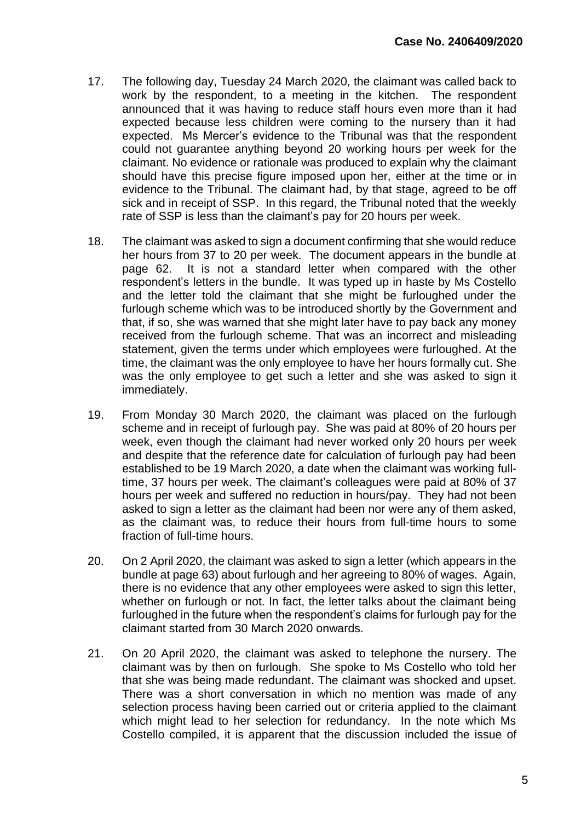- 17. The following day, Tuesday 24 March 2020, the claimant was called back to work by the respondent, to a meeting in the kitchen. The respondent announced that it was having to reduce staff hours even more than it had expected because less children were coming to the nursery than it had expected. Ms Mercer's evidence to the Tribunal was that the respondent could not guarantee anything beyond 20 working hours per week for the claimant. No evidence or rationale was produced to explain why the claimant should have this precise figure imposed upon her, either at the time or in evidence to the Tribunal. The claimant had, by that stage, agreed to be off sick and in receipt of SSP. In this regard, the Tribunal noted that the weekly rate of SSP is less than the claimant's pay for 20 hours per week.
- 18. The claimant was asked to sign a document confirming that she would reduce her hours from 37 to 20 per week. The document appears in the bundle at page 62. It is not a standard letter when compared with the other respondent's letters in the bundle. It was typed up in haste by Ms Costello and the letter told the claimant that she might be furloughed under the furlough scheme which was to be introduced shortly by the Government and that, if so, she was warned that she might later have to pay back any money received from the furlough scheme. That was an incorrect and misleading statement, given the terms under which employees were furloughed. At the time, the claimant was the only employee to have her hours formally cut. She was the only employee to get such a letter and she was asked to sign it immediately.
- 19. From Monday 30 March 2020, the claimant was placed on the furlough scheme and in receipt of furlough pay. She was paid at 80% of 20 hours per week, even though the claimant had never worked only 20 hours per week and despite that the reference date for calculation of furlough pay had been established to be 19 March 2020, a date when the claimant was working fulltime, 37 hours per week. The claimant's colleagues were paid at 80% of 37 hours per week and suffered no reduction in hours/pay. They had not been asked to sign a letter as the claimant had been nor were any of them asked, as the claimant was, to reduce their hours from full-time hours to some fraction of full-time hours.
- 20. On 2 April 2020, the claimant was asked to sign a letter (which appears in the bundle at page 63) about furlough and her agreeing to 80% of wages. Again, there is no evidence that any other employees were asked to sign this letter, whether on furlough or not. In fact, the letter talks about the claimant being furloughed in the future when the respondent's claims for furlough pay for the claimant started from 30 March 2020 onwards.
- 21. On 20 April 2020, the claimant was asked to telephone the nursery. The claimant was by then on furlough. She spoke to Ms Costello who told her that she was being made redundant. The claimant was shocked and upset. There was a short conversation in which no mention was made of any selection process having been carried out or criteria applied to the claimant which might lead to her selection for redundancy. In the note which Ms Costello compiled, it is apparent that the discussion included the issue of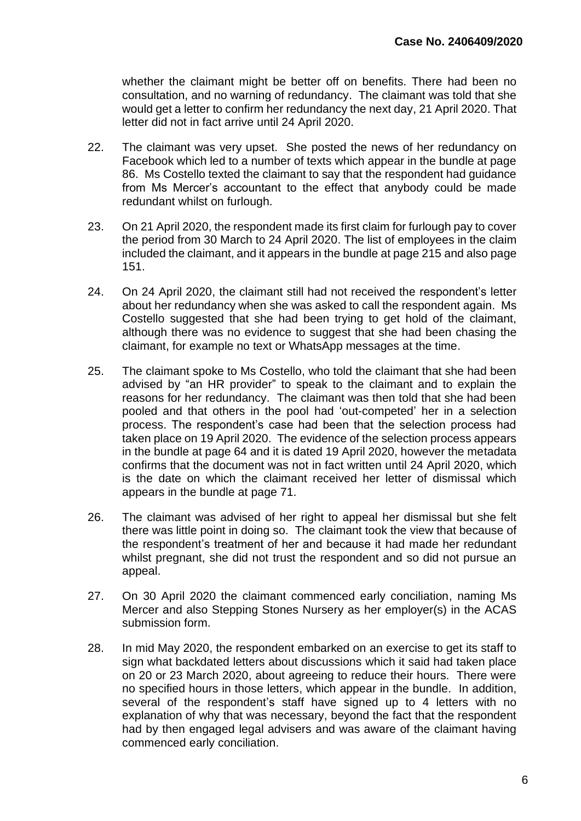whether the claimant might be better off on benefits. There had been no consultation, and no warning of redundancy. The claimant was told that she would get a letter to confirm her redundancy the next day, 21 April 2020. That letter did not in fact arrive until 24 April 2020.

- 22. The claimant was very upset. She posted the news of her redundancy on Facebook which led to a number of texts which appear in the bundle at page 86. Ms Costello texted the claimant to say that the respondent had guidance from Ms Mercer's accountant to the effect that anybody could be made redundant whilst on furlough.
- 23. On 21 April 2020, the respondent made its first claim for furlough pay to cover the period from 30 March to 24 April 2020. The list of employees in the claim included the claimant, and it appears in the bundle at page 215 and also page 151.
- 24. On 24 April 2020, the claimant still had not received the respondent's letter about her redundancy when she was asked to call the respondent again. Ms Costello suggested that she had been trying to get hold of the claimant, although there was no evidence to suggest that she had been chasing the claimant, for example no text or WhatsApp messages at the time.
- 25. The claimant spoke to Ms Costello, who told the claimant that she had been advised by "an HR provider" to speak to the claimant and to explain the reasons for her redundancy. The claimant was then told that she had been pooled and that others in the pool had 'out-competed' her in a selection process. The respondent's case had been that the selection process had taken place on 19 April 2020. The evidence of the selection process appears in the bundle at page 64 and it is dated 19 April 2020, however the metadata confirms that the document was not in fact written until 24 April 2020, which is the date on which the claimant received her letter of dismissal which appears in the bundle at page 71.
- 26. The claimant was advised of her right to appeal her dismissal but she felt there was little point in doing so. The claimant took the view that because of the respondent's treatment of her and because it had made her redundant whilst pregnant, she did not trust the respondent and so did not pursue an appeal.
- 27. On 30 April 2020 the claimant commenced early conciliation, naming Ms Mercer and also Stepping Stones Nursery as her employer(s) in the ACAS submission form.
- 28. In mid May 2020, the respondent embarked on an exercise to get its staff to sign what backdated letters about discussions which it said had taken place on 20 or 23 March 2020, about agreeing to reduce their hours. There were no specified hours in those letters, which appear in the bundle. In addition, several of the respondent's staff have signed up to 4 letters with no explanation of why that was necessary, beyond the fact that the respondent had by then engaged legal advisers and was aware of the claimant having commenced early conciliation.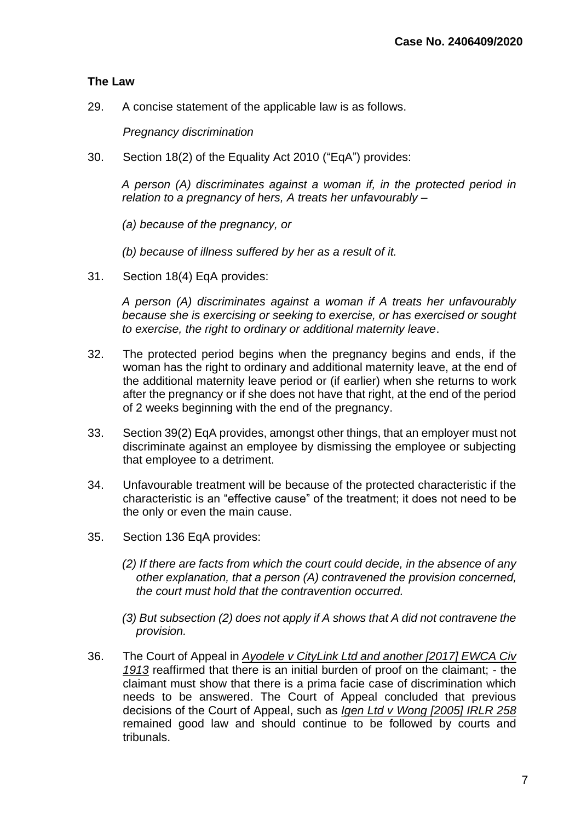## **The Law**

29. A concise statement of the applicable law is as follows.

*Pregnancy discrimination*

30. Section 18(2) of the Equality Act 2010 ("EqA") provides:

*A person (A) discriminates against a woman if, in the protected period in relation to a pregnancy of hers, A treats her unfavourably –*

*(a) because of the pregnancy, or*

*(b) because of illness suffered by her as a result of it.*

31. Section 18(4) EqA provides:

*A person (A) discriminates against a woman if A treats her unfavourably because she is exercising or seeking to exercise, or has exercised or sought to exercise, the right to ordinary or additional maternity leave*.

- 32. The protected period begins when the pregnancy begins and ends, if the woman has the right to ordinary and additional maternity leave, at the end of the additional maternity leave period or (if earlier) when she returns to work after the pregnancy or if she does not have that right, at the end of the period of 2 weeks beginning with the end of the pregnancy.
- 33. Section 39(2) EqA provides, amongst other things, that an employer must not discriminate against an employee by dismissing the employee or subjecting that employee to a detriment.
- 34. Unfavourable treatment will be because of the protected characteristic if the characteristic is an "effective cause" of the treatment; it does not need to be the only or even the main cause.
- 35. Section 136 EqA provides:
	- *(2) If there are facts from which the court could decide, in the absence of any other explanation, that a person (A) contravened the provision concerned, the court must hold that the contravention occurred.*

*(3) But subsection (2) does not apply if A shows that A did not contravene the provision.*

36. The Court of Appeal in *Ayodele v CityLink Ltd and another [2017] EWCA Civ 1913* reaffirmed that there is an initial burden of proof on the claimant; - the claimant must show that there is a prima facie case of discrimination which needs to be answered. The Court of Appeal concluded that previous decisions of the Court of Appeal, such as *Igen Ltd v Wong [2005] IRLR 258* remained good law and should continue to be followed by courts and tribunals.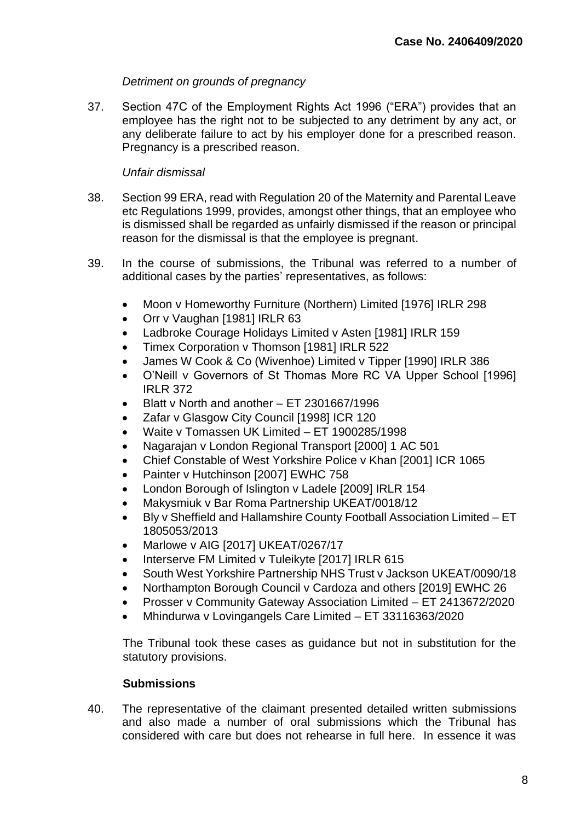## *Detriment on grounds of pregnancy*

37. Section 47C of the Employment Rights Act 1996 ("ERA") provides that an employee has the right not to be subjected to any detriment by any act, or any deliberate failure to act by his employer done for a prescribed reason. Pregnancy is a prescribed reason.

## *Unfair dismissal*

- 38. Section 99 ERA, read with Regulation 20 of the Maternity and Parental Leave etc Regulations 1999, provides, amongst other things, that an employee who is dismissed shall be regarded as unfairly dismissed if the reason or principal reason for the dismissal is that the employee is pregnant.
- 39. In the course of submissions, the Tribunal was referred to a number of additional cases by the parties' representatives, as follows:
	- Moon v Homeworthy Furniture (Northern) Limited [1976] IRLR 298
	- Orr v Vaughan [1981] IRLR 63
	- Ladbroke Courage Holidays Limited v Asten [1981] IRLR 159
	- Timex Corporation v Thomson [1981] IRLR 522
	- James W Cook & Co (Wivenhoe) Limited v Tipper [1990] IRLR 386
	- O'Neill v Governors of St Thomas More RC VA Upper School [1996] IRLR 372
	- Blatt v North and another ET 2301667/1996
	- Zafar v Glasgow City Council [1998] ICR 120
	- Waite v Tomassen UK Limited ET 1900285/1998
	- Nagarajan v London Regional Transport [2000] 1 AC 501
	- Chief Constable of West Yorkshire Police v Khan [2001] ICR 1065
	- Painter v Hutchinson [2007] EWHC 758
	- London Borough of Islington v Ladele [2009] IRLR 154
	- Makysmiuk v Bar Roma Partnership UKEAT/0018/12
	- Bly v Sheffield and Hallamshire County Football Association Limited ET 1805053/2013
	- Marlowe v AIG [2017] UKEAT/0267/17
	- Interserve FM Limited v Tuleikyte [2017] IRLR 615
	- South West Yorkshire Partnership NHS Trust v Jackson UKEAT/0090/18
	- Northampton Borough Council v Cardoza and others [2019] EWHC 26
	- Prosser v Community Gateway Association Limited ET 2413672/2020
	- Mhindurwa v Lovingangels Care Limited ET 33116363/2020

The Tribunal took these cases as guidance but not in substitution for the statutory provisions.

## **Submissions**

40. The representative of the claimant presented detailed written submissions and also made a number of oral submissions which the Tribunal has considered with care but does not rehearse in full here. In essence it was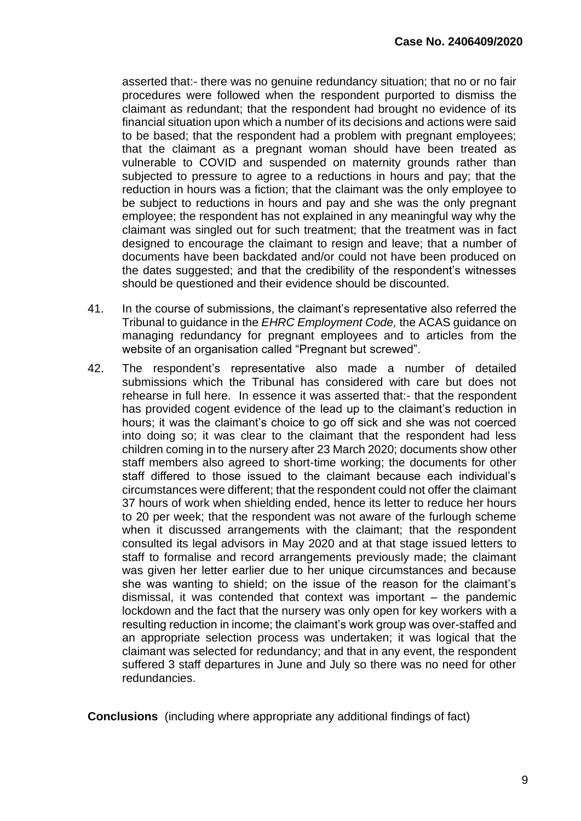asserted that:- there was no genuine redundancy situation; that no or no fair procedures were followed when the respondent purported to dismiss the claimant as redundant; that the respondent had brought no evidence of its financial situation upon which a number of its decisions and actions were said to be based; that the respondent had a problem with pregnant employees; that the claimant as a pregnant woman should have been treated as vulnerable to COVID and suspended on maternity grounds rather than subjected to pressure to agree to a reductions in hours and pay; that the reduction in hours was a fiction; that the claimant was the only employee to be subject to reductions in hours and pay and she was the only pregnant employee; the respondent has not explained in any meaningful way why the claimant was singled out for such treatment; that the treatment was in fact designed to encourage the claimant to resign and leave; that a number of documents have been backdated and/or could not have been produced on the dates suggested; and that the credibility of the respondent's witnesses should be questioned and their evidence should be discounted.

- 41. In the course of submissions, the claimant's representative also referred the Tribunal to guidance in the *EHRC Employment Code,* the ACAS guidance on managing redundancy for pregnant employees and to articles from the website of an organisation called "Pregnant but screwed".
- 42. The respondent's representative also made a number of detailed submissions which the Tribunal has considered with care but does not rehearse in full here. In essence it was asserted that:- that the respondent has provided cogent evidence of the lead up to the claimant's reduction in hours; it was the claimant's choice to go off sick and she was not coerced into doing so; it was clear to the claimant that the respondent had less children coming in to the nursery after 23 March 2020; documents show other staff members also agreed to short-time working; the documents for other staff differed to those issued to the claimant because each individual's circumstances were different; that the respondent could not offer the claimant 37 hours of work when shielding ended, hence its letter to reduce her hours to 20 per week; that the respondent was not aware of the furlough scheme when it discussed arrangements with the claimant; that the respondent consulted its legal advisors in May 2020 and at that stage issued letters to staff to formalise and record arrangements previously made; the claimant was given her letter earlier due to her unique circumstances and because she was wanting to shield; on the issue of the reason for the claimant's dismissal, it was contended that context was important – the pandemic lockdown and the fact that the nursery was only open for key workers with a resulting reduction in income; the claimant's work group was over-staffed and an appropriate selection process was undertaken; it was logical that the claimant was selected for redundancy; and that in any event, the respondent suffered 3 staff departures in June and July so there was no need for other redundancies.

**Conclusions** (including where appropriate any additional findings of fact)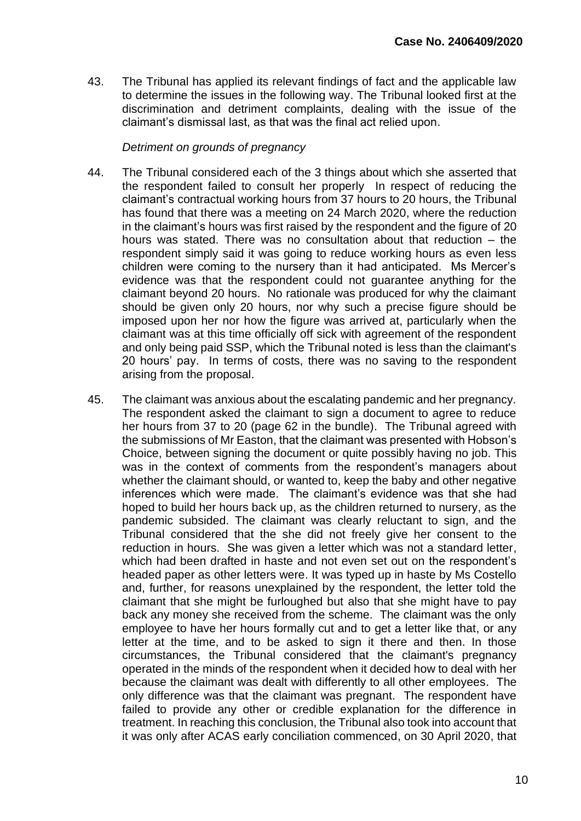43. The Tribunal has applied its relevant findings of fact and the applicable law to determine the issues in the following way. The Tribunal looked first at the discrimination and detriment complaints, dealing with the issue of the claimant's dismissal last, as that was the final act relied upon.

## *Detriment on grounds of pregnancy*

- 44. The Tribunal considered each of the 3 things about which she asserted that the respondent failed to consult her properly In respect of reducing the claimant's contractual working hours from 37 hours to 20 hours, the Tribunal has found that there was a meeting on 24 March 2020, where the reduction in the claimant's hours was first raised by the respondent and the figure of 20 hours was stated. There was no consultation about that reduction – the respondent simply said it was going to reduce working hours as even less children were coming to the nursery than it had anticipated. Ms Mercer's evidence was that the respondent could not guarantee anything for the claimant beyond 20 hours. No rationale was produced for why the claimant should be given only 20 hours, nor why such a precise figure should be imposed upon her nor how the figure was arrived at, particularly when the claimant was at this time officially off sick with agreement of the respondent and only being paid SSP, which the Tribunal noted is less than the claimant's 20 hours' pay. In terms of costs, there was no saving to the respondent arising from the proposal.
- 45. The claimant was anxious about the escalating pandemic and her pregnancy. The respondent asked the claimant to sign a document to agree to reduce her hours from 37 to 20 (page 62 in the bundle). The Tribunal agreed with the submissions of Mr Easton, that the claimant was presented with Hobson's Choice, between signing the document or quite possibly having no job. This was in the context of comments from the respondent's managers about whether the claimant should, or wanted to, keep the baby and other negative inferences which were made. The claimant's evidence was that she had hoped to build her hours back up, as the children returned to nursery, as the pandemic subsided. The claimant was clearly reluctant to sign, and the Tribunal considered that the she did not freely give her consent to the reduction in hours. She was given a letter which was not a standard letter, which had been drafted in haste and not even set out on the respondent's headed paper as other letters were. It was typed up in haste by Ms Costello and, further, for reasons unexplained by the respondent, the letter told the claimant that she might be furloughed but also that she might have to pay back any money she received from the scheme. The claimant was the only employee to have her hours formally cut and to get a letter like that, or any letter at the time, and to be asked to sign it there and then. In those circumstances, the Tribunal considered that the claimant's pregnancy operated in the minds of the respondent when it decided how to deal with her because the claimant was dealt with differently to all other employees. The only difference was that the claimant was pregnant. The respondent have failed to provide any other or credible explanation for the difference in treatment. In reaching this conclusion, the Tribunal also took into account that it was only after ACAS early conciliation commenced, on 30 April 2020, that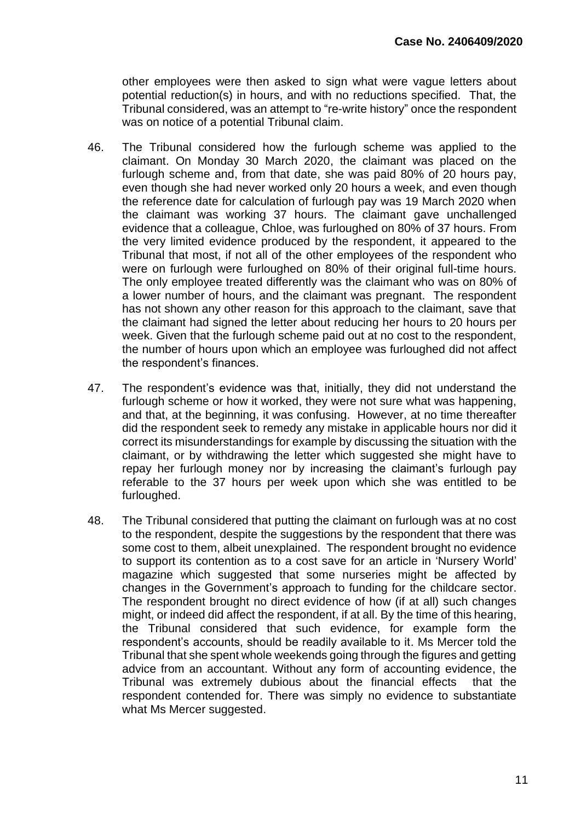other employees were then asked to sign what were vague letters about potential reduction(s) in hours, and with no reductions specified. That, the Tribunal considered, was an attempt to "re-write history" once the respondent was on notice of a potential Tribunal claim.

- 46. The Tribunal considered how the furlough scheme was applied to the claimant. On Monday 30 March 2020, the claimant was placed on the furlough scheme and, from that date, she was paid 80% of 20 hours pay, even though she had never worked only 20 hours a week, and even though the reference date for calculation of furlough pay was 19 March 2020 when the claimant was working 37 hours. The claimant gave unchallenged evidence that a colleague, Chloe, was furloughed on 80% of 37 hours. From the very limited evidence produced by the respondent, it appeared to the Tribunal that most, if not all of the other employees of the respondent who were on furlough were furloughed on 80% of their original full-time hours. The only employee treated differently was the claimant who was on 80% of a lower number of hours, and the claimant was pregnant. The respondent has not shown any other reason for this approach to the claimant, save that the claimant had signed the letter about reducing her hours to 20 hours per week. Given that the furlough scheme paid out at no cost to the respondent, the number of hours upon which an employee was furloughed did not affect the respondent's finances.
- 47. The respondent's evidence was that, initially, they did not understand the furlough scheme or how it worked, they were not sure what was happening, and that, at the beginning, it was confusing. However, at no time thereafter did the respondent seek to remedy any mistake in applicable hours nor did it correct its misunderstandings for example by discussing the situation with the claimant, or by withdrawing the letter which suggested she might have to repay her furlough money nor by increasing the claimant's furlough pay referable to the 37 hours per week upon which she was entitled to be furloughed.
- 48. The Tribunal considered that putting the claimant on furlough was at no cost to the respondent, despite the suggestions by the respondent that there was some cost to them, albeit unexplained. The respondent brought no evidence to support its contention as to a cost save for an article in 'Nursery World' magazine which suggested that some nurseries might be affected by changes in the Government's approach to funding for the childcare sector. The respondent brought no direct evidence of how (if at all) such changes might, or indeed did affect the respondent, if at all. By the time of this hearing, the Tribunal considered that such evidence, for example form the respondent's accounts, should be readily available to it. Ms Mercer told the Tribunal that she spent whole weekends going through the figures and getting advice from an accountant. Without any form of accounting evidence, the Tribunal was extremely dubious about the financial effects that the respondent contended for. There was simply no evidence to substantiate what Ms Mercer suggested.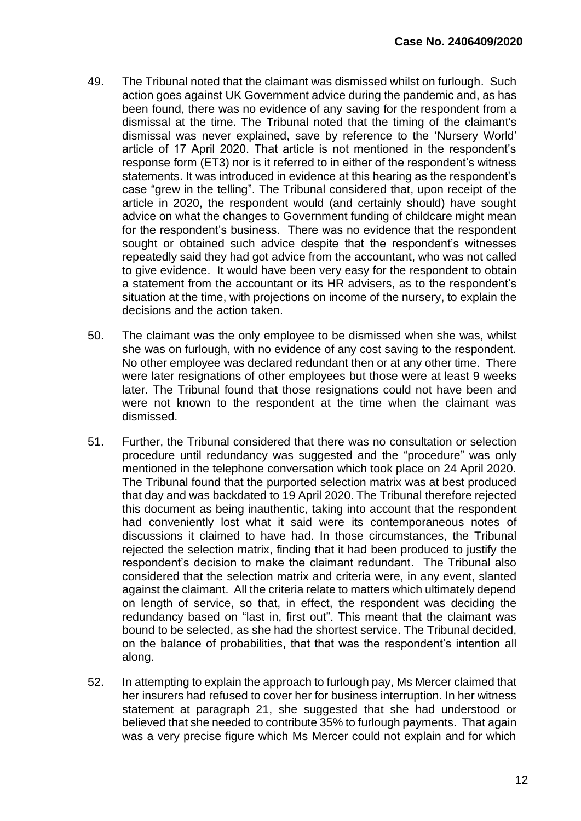- 49. The Tribunal noted that the claimant was dismissed whilst on furlough. Such action goes against UK Government advice during the pandemic and, as has been found, there was no evidence of any saving for the respondent from a dismissal at the time. The Tribunal noted that the timing of the claimant's dismissal was never explained, save by reference to the 'Nursery World' article of 17 April 2020. That article is not mentioned in the respondent's response form (ET3) nor is it referred to in either of the respondent's witness statements. It was introduced in evidence at this hearing as the respondent's case "grew in the telling". The Tribunal considered that, upon receipt of the article in 2020, the respondent would (and certainly should) have sought advice on what the changes to Government funding of childcare might mean for the respondent's business. There was no evidence that the respondent sought or obtained such advice despite that the respondent's witnesses repeatedly said they had got advice from the accountant, who was not called to give evidence. It would have been very easy for the respondent to obtain a statement from the accountant or its HR advisers, as to the respondent's situation at the time, with projections on income of the nursery, to explain the decisions and the action taken.
- 50. The claimant was the only employee to be dismissed when she was, whilst she was on furlough, with no evidence of any cost saving to the respondent. No other employee was declared redundant then or at any other time. There were later resignations of other employees but those were at least 9 weeks later. The Tribunal found that those resignations could not have been and were not known to the respondent at the time when the claimant was dismissed.
- 51. Further, the Tribunal considered that there was no consultation or selection procedure until redundancy was suggested and the "procedure" was only mentioned in the telephone conversation which took place on 24 April 2020. The Tribunal found that the purported selection matrix was at best produced that day and was backdated to 19 April 2020. The Tribunal therefore rejected this document as being inauthentic, taking into account that the respondent had conveniently lost what it said were its contemporaneous notes of discussions it claimed to have had. In those circumstances, the Tribunal rejected the selection matrix, finding that it had been produced to justify the respondent's decision to make the claimant redundant. The Tribunal also considered that the selection matrix and criteria were, in any event, slanted against the claimant. All the criteria relate to matters which ultimately depend on length of service, so that, in effect, the respondent was deciding the redundancy based on "last in, first out". This meant that the claimant was bound to be selected, as she had the shortest service. The Tribunal decided, on the balance of probabilities, that that was the respondent's intention all along.
- 52. In attempting to explain the approach to furlough pay, Ms Mercer claimed that her insurers had refused to cover her for business interruption. In her witness statement at paragraph 21, she suggested that she had understood or believed that she needed to contribute 35% to furlough payments. That again was a very precise figure which Ms Mercer could not explain and for which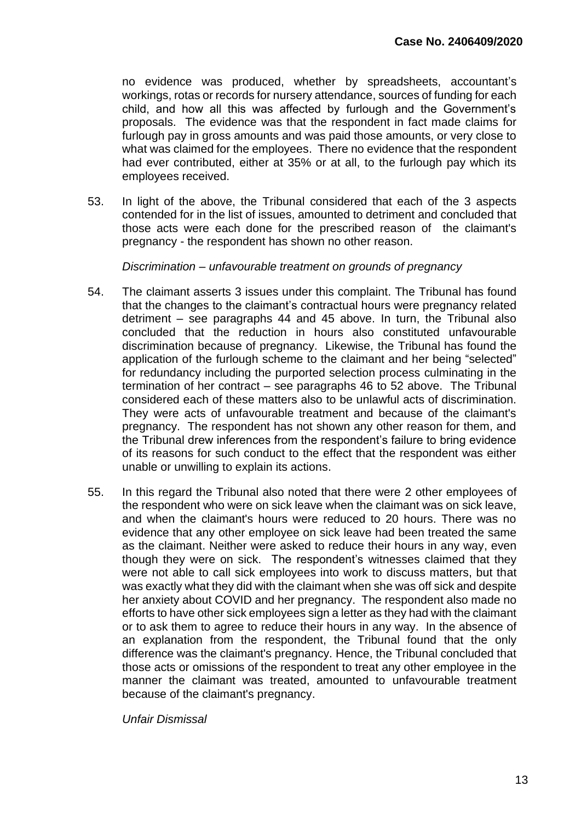no evidence was produced, whether by spreadsheets, accountant's workings, rotas or records for nursery attendance, sources of funding for each child, and how all this was affected by furlough and the Government's proposals. The evidence was that the respondent in fact made claims for furlough pay in gross amounts and was paid those amounts, or very close to what was claimed for the employees. There no evidence that the respondent had ever contributed, either at 35% or at all, to the furlough pay which its employees received.

53. In light of the above, the Tribunal considered that each of the 3 aspects contended for in the list of issues, amounted to detriment and concluded that those acts were each done for the prescribed reason of the claimant's pregnancy - the respondent has shown no other reason.

*Discrimination – unfavourable treatment on grounds of pregnancy*

- 54. The claimant asserts 3 issues under this complaint. The Tribunal has found that the changes to the claimant's contractual hours were pregnancy related detriment – see paragraphs 44 and 45 above. In turn, the Tribunal also concluded that the reduction in hours also constituted unfavourable discrimination because of pregnancy. Likewise, the Tribunal has found the application of the furlough scheme to the claimant and her being "selected" for redundancy including the purported selection process culminating in the termination of her contract – see paragraphs 46 to 52 above. The Tribunal considered each of these matters also to be unlawful acts of discrimination. They were acts of unfavourable treatment and because of the claimant's pregnancy. The respondent has not shown any other reason for them, and the Tribunal drew inferences from the respondent's failure to bring evidence of its reasons for such conduct to the effect that the respondent was either unable or unwilling to explain its actions.
- 55. In this regard the Tribunal also noted that there were 2 other employees of the respondent who were on sick leave when the claimant was on sick leave, and when the claimant's hours were reduced to 20 hours. There was no evidence that any other employee on sick leave had been treated the same as the claimant. Neither were asked to reduce their hours in any way, even though they were on sick. The respondent's witnesses claimed that they were not able to call sick employees into work to discuss matters, but that was exactly what they did with the claimant when she was off sick and despite her anxiety about COVID and her pregnancy. The respondent also made no efforts to have other sick employees sign a letter as they had with the claimant or to ask them to agree to reduce their hours in any way. In the absence of an explanation from the respondent, the Tribunal found that the only difference was the claimant's pregnancy. Hence, the Tribunal concluded that those acts or omissions of the respondent to treat any other employee in the manner the claimant was treated, amounted to unfavourable treatment because of the claimant's pregnancy.

*Unfair Dismissal*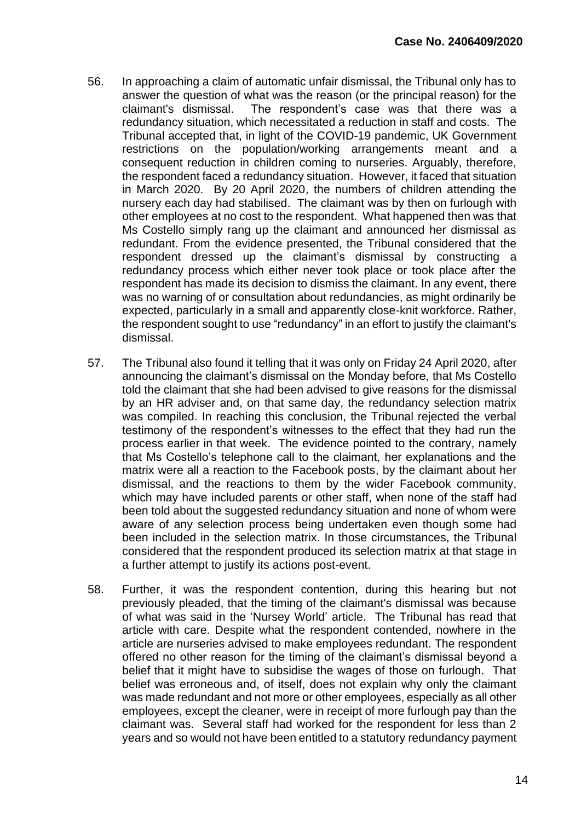- 56. In approaching a claim of automatic unfair dismissal, the Tribunal only has to answer the question of what was the reason (or the principal reason) for the claimant's dismissal. The respondent's case was that there was a redundancy situation, which necessitated a reduction in staff and costs. The Tribunal accepted that, in light of the COVID-19 pandemic, UK Government restrictions on the population/working arrangements meant and a consequent reduction in children coming to nurseries. Arguably, therefore, the respondent faced a redundancy situation. However, it faced that situation in March 2020. By 20 April 2020, the numbers of children attending the nursery each day had stabilised. The claimant was by then on furlough with other employees at no cost to the respondent. What happened then was that Ms Costello simply rang up the claimant and announced her dismissal as redundant. From the evidence presented, the Tribunal considered that the respondent dressed up the claimant's dismissal by constructing a redundancy process which either never took place or took place after the respondent has made its decision to dismiss the claimant. In any event, there was no warning of or consultation about redundancies, as might ordinarily be expected, particularly in a small and apparently close-knit workforce. Rather, the respondent sought to use "redundancy" in an effort to justify the claimant's dismissal.
- 57. The Tribunal also found it telling that it was only on Friday 24 April 2020, after announcing the claimant's dismissal on the Monday before, that Ms Costello told the claimant that she had been advised to give reasons for the dismissal by an HR adviser and, on that same day, the redundancy selection matrix was compiled. In reaching this conclusion, the Tribunal rejected the verbal testimony of the respondent's witnesses to the effect that they had run the process earlier in that week. The evidence pointed to the contrary, namely that Ms Costello's telephone call to the claimant, her explanations and the matrix were all a reaction to the Facebook posts, by the claimant about her dismissal, and the reactions to them by the wider Facebook community, which may have included parents or other staff, when none of the staff had been told about the suggested redundancy situation and none of whom were aware of any selection process being undertaken even though some had been included in the selection matrix. In those circumstances, the Tribunal considered that the respondent produced its selection matrix at that stage in a further attempt to justify its actions post-event.
- 58. Further, it was the respondent contention, during this hearing but not previously pleaded, that the timing of the claimant's dismissal was because of what was said in the 'Nursey World' article. The Tribunal has read that article with care. Despite what the respondent contended, nowhere in the article are nurseries advised to make employees redundant. The respondent offered no other reason for the timing of the claimant's dismissal beyond a belief that it might have to subsidise the wages of those on furlough. That belief was erroneous and, of itself, does not explain why only the claimant was made redundant and not more or other employees, especially as all other employees, except the cleaner, were in receipt of more furlough pay than the claimant was. Several staff had worked for the respondent for less than 2 years and so would not have been entitled to a statutory redundancy payment